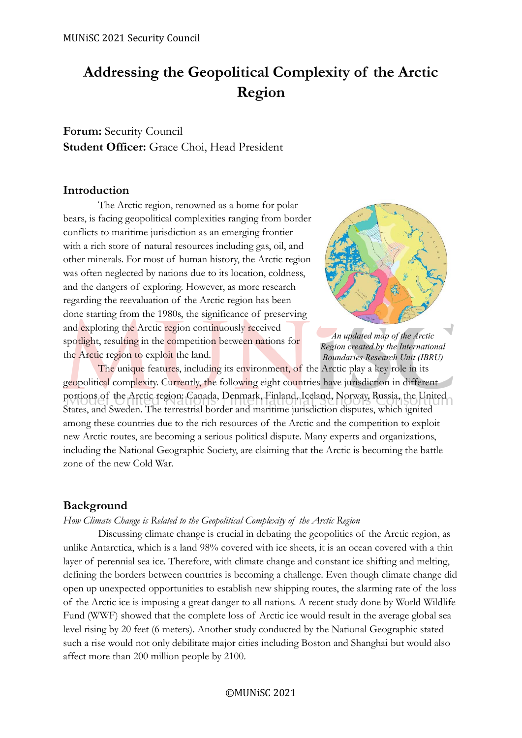# **Addressing the Geopolitical Complexity of the Arctic Region**

**Forum:** Security Council **Student Officer:** Grace Choi, Head President

# **Introduction**

The Arctic region, renowned as a home for polar bears, is facing geopolitical complexities ranging from border conflicts to maritime jurisdiction as an emerging frontier with a rich store of natural resources including gas, oil, and other minerals. For most of human history, the Arctic region was often neglected by nations due to its location, coldness, and the dangers of exploring. However, as more research regarding the reevaluation of the Arctic region has been done starting from the 1980s, the significance of preserving and exploring the Arctic region continuously received spotlight, resulting in the competition between nations for the Arctic region to exploit the land.



*An updated map of the Arctic Region created by the International Boundaries Research Unit (IBRU)*

The unique features, including its environment, of the Arctic play a key role in its geopolitical complexity. Currently, the following eight countries have jurisdiction in different portions of the Arctic region: Canada, Denmark, Finland, Iceland, Norway, Russia, the United States, and Sweden. The terrestrial border and maritime jurisdiction disputes, which ignited among these countries due to the rich resources of the Arctic and the competition to exploit new Arctic routes, are becoming a serious political dispute. Many experts and organizations, including the National Geographic Society, are claiming that the Arctic is becoming the battle zone of the new Cold War.

# **Background**

### *How Climate Change is Related to the Geopolitical Complexity of the Arctic Region*

Discussing climate change is crucial in debating the geopolitics of the Arctic region, as unlike Antarctica, which is a land 98% covered with ice sheets, it is an ocean covered with a thin layer of perennial sea ice. Therefore, with climate change and constant ice shifting and melting, defining the borders between countries is becoming a challenge. Even though climate change did open up unexpected opportunities to establish new shipping routes, the alarming rate of the loss of the Arctic ice is imposing a great danger to all nations. A recent study done by World Wildlife Fund (WWF) showed that the complete loss of Arctic ice would result in the average global sea level rising by 20 feet (6 meters). Another study conducted by the National Geographic stated such a rise would not only debilitate major cities including Boston and Shanghai but would also affect more than 200 million people by 2100.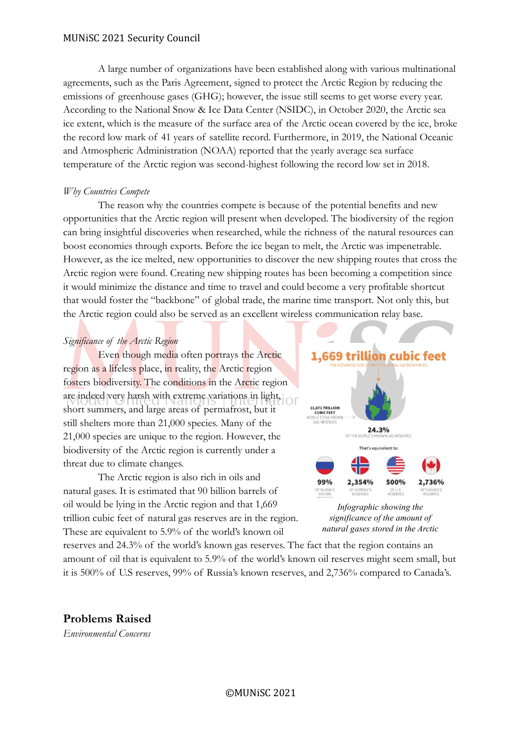A large number of organizations have been established along with various multinational agreements, such as the Paris Agreement, signed to protect the Arctic Region by reducing the emissions of greenhouse gases (GHG); however, the issue still seems to get worse every year. According to the National Snow & Ice Data Center (NSIDC), in October 2020, the Arctic sea ice extent, which is the measure of the surface area of the Arctic ocean covered by the ice, broke the record low mark of 41 years of satellite record. Furthermore, in 2019, the National Oceanic and Atmospheric Administration (NOAA) reported that the yearly average sea surface temperature of the Arctic region was second-highest following the record low set in 2018.

# *Why Countries Compete*

The reason why the countries compete is because of the potential benefits and new opportunities that the Arctic region will present when developed. The biodiversity of the region can bring insightful discoveries when researched, while the richness of the natural resources can boost economies through exports. Before the ice began to melt, the Arctic was impenetrable. However, as the ice melted, new opportunities to discover the new shipping routes that cross the Arctic region were found. Creating new shipping routes has been becoming a competition since it would minimize the distance and time to travel and could become a very profitable shortcut that would foster the "backbone" of global trade, the marine time transport. Not only this, but the Arctic region could also be served as an excellent wireless communication relay base.

# *Significance of the Arctic Region*

Even though media often portrays the Arctic region as a lifeless place, in reality, the Arctic region fosters biodiversity. The conditions in the Arctic region are indeed very harsh with extreme variations in light, short summers, and large areas of permafrost, but it still shelters more than 21,000 species. Many of the 21,000 species are unique to the region. However, the biodiversity of the Arctic region is currently under a threat due to climate changes.

The Arctic region is also rich in oils and natural gases. It is estimated that 90 billion barrels of oil would be lying in the Arctic region and that 1,669 trillion cubic feet of natural gas reserves are in the region. These are equivalent to 5.9% of the world's known oil



*Infographic showing the significance of the amount of natural gases stored in the Arctic* 

reserves and 24.3% of the world's known gas reserves. The fact that the region contains an amount of oil that is equivalent to 5.9% of the world's known oil reserves might seem small, but it is 500% of U.S reserves, 99% of Russia's known reserves, and 2,736% compared to Canada's.

**Problems Raised**

*Environmental Concerns*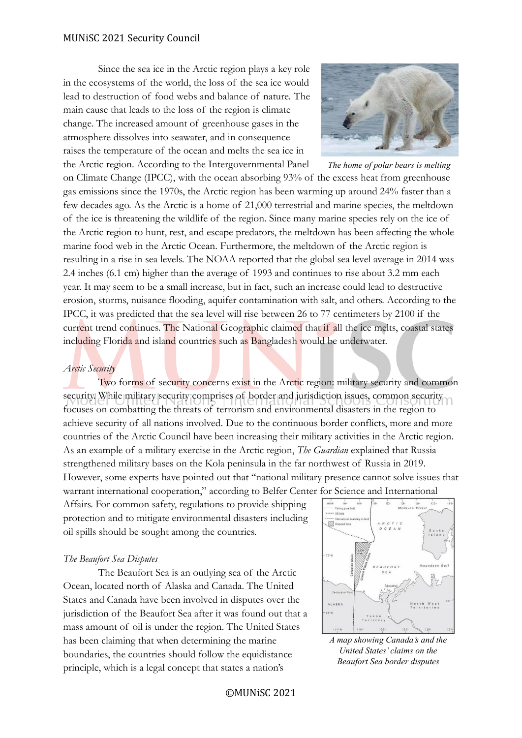Since the sea ice in the Arctic region plays a key role in the ecosystems of the world, the loss of the sea ice would lead to destruction of food webs and balance of nature. The main cause that leads to the loss of the region is climate change. The increased amount of greenhouse gases in the atmosphere dissolves into seawater, and in consequence raises the temperature of the ocean and melts the sea ice in the Arctic region. According to the Intergovernmental Panel



*The home of polar bears is melting*

on Climate Change (IPCC), with the ocean absorbing 93% of the excess heat from greenhouse gas emissions since the 1970s, the Arctic region has been warming up around 24% faster than a few decades ago. As the Arctic is a home of 21,000 terrestrial and marine species, the meltdown of the ice is threatening the wildlife of the region. Since many marine species rely on the ice of the Arctic region to hunt, rest, and escape predators, the meltdown has been affecting the whole marine food web in the Arctic Ocean. Furthermore, the meltdown of the Arctic region is resulting in a rise in sea levels. The NOAA reported that the global sea level average in 2014 was 2.4 inches (6.1 cm) higher than the average of 1993 and continues to rise about 3.2 mm each year. It may seem to be a small increase, but in fact, such an increase could lead to destructive erosion, storms, nuisance flooding, aquifer contamination with salt, and others. According to the IPCC, it was predicted that the sea level will rise between 26 to 77 centimeters by 2100 if the current trend continues. The National Geographic claimed that if all the ice melts, coastal states including Florida and island countries such as Bangladesh would be underwater.

### *Arctic Security*

Two forms of security concerns exist in the Arctic region: military security and common security. While military security comprises of border and jurisdiction issues, common security focuses on combatting the threats of terrorism and environmental disasters in the region to achieve security of all nations involved. Due to the continuous border conflicts, more and more countries of the Arctic Council have been increasing their military activities in the Arctic region. As an example of a military exercise in the Arctic region, *The Guardian* explained that Russia strengthened military bases on the Kola peninsula in the far northwest of Russia in 2019. However, some experts have pointed out that "national military presence cannot solve issues that warrant international cooperation," according to Belfer Center for Science and International

Affairs. For common safety, regulations to provide shipping protection and to mitigate environmental disasters including oil spills should be sought among the countries.

# *The Beaufort Sea Disputes*

The Beaufort Sea is an outlying sea of the Arctic Ocean, located north of Alaska and Canada. The United States and Canada have been involved in disputes over the jurisdiction of the Beaufort Sea after it was found out that a mass amount of oil is under the region. The United States has been claiming that when determining the marine boundaries, the countries should follow the equidistance principle, which is a legal concept that states a nation's



*A map showing Canada's and the United States' claims on the Beaufort Sea border disputes*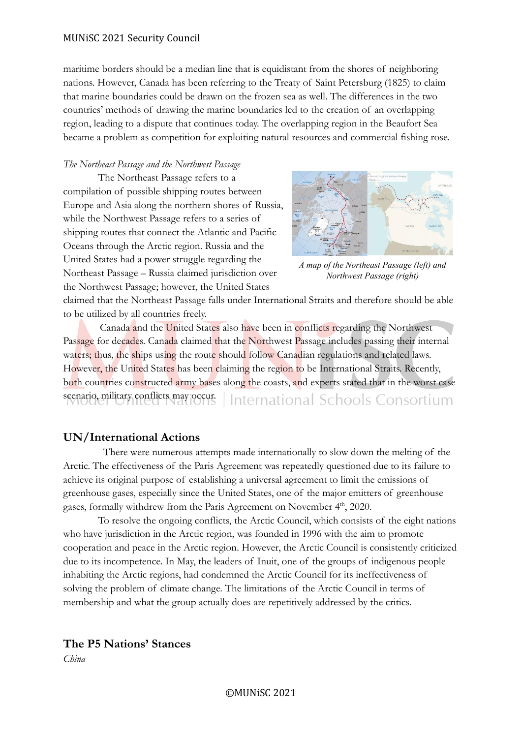### MUNiSC 2021 Security Council

maritime borders should be a median line that is equidistant from the shores of neighboring nations. However, Canada has been referring to the Treaty of Saint Petersburg (1825) to claim that marine boundaries could be drawn on the frozen sea as well. The differences in the two countries' methods of drawing the marine boundaries led to the creation of an overlapping region, leading to a dispute that continues today. The overlapping region in the Beaufort Sea became a problem as competition for exploiting natural resources and commercial fishing rose.

### *The Northeast Passage and the Northwest Passage*

The Northeast Passage refers to a compilation of possible shipping routes between Europe and Asia along the northern shores of Russia, while the Northwest Passage refers to a series of shipping routes that connect the Atlantic and Pacific Oceans through the Arctic region. Russia and the United States had a power struggle regarding the Northeast Passage – Russia claimed jurisdiction over the Northwest Passage; however, the United States



*A map of the Northeast Passage (left) and Northwest Passage (right)*

claimed that the Northeast Passage falls under International Straits and therefore should be able to be utilized by all countries freely.

 Canada and the United States also have been in conflicts regarding the Northwest Passage for decades. Canada claimed that the Northwest Passage includes passing their internal waters; thus, the ships using the route should follow Canadian regulations and related laws. However, the United States has been claiming the region to be International Straits. Recently, both countries constructed army bases along the coasts, and experts stated that in the worst case scenario, military conflicts may occur. International Schools Consortium

# **UN/International Actions**

There were numerous attempts made internationally to slow down the melting of the Arctic. The effectiveness of the Paris Agreement was repeatedly questioned due to its failure to achieve its original purpose of establishing a universal agreement to limit the emissions of greenhouse gases, especially since the United States, one of the major emitters of greenhouse gases, formally withdrew from the Paris Agreement on November 4<sup>th</sup>, 2020.

To resolve the ongoing conflicts, the Arctic Council, which consists of the eight nations who have jurisdiction in the Arctic region, was founded in 1996 with the aim to promote cooperation and peace in the Arctic region. However, the Arctic Council is consistently criticized due to its incompetence. In May, the leaders of Inuit, one of the groups of indigenous people inhabiting the Arctic regions, had condemned the Arctic Council for its ineffectiveness of solving the problem of climate change. The limitations of the Arctic Council in terms of membership and what the group actually does are repetitively addressed by the critics.

# **The P5 Nations' Stances**

*China*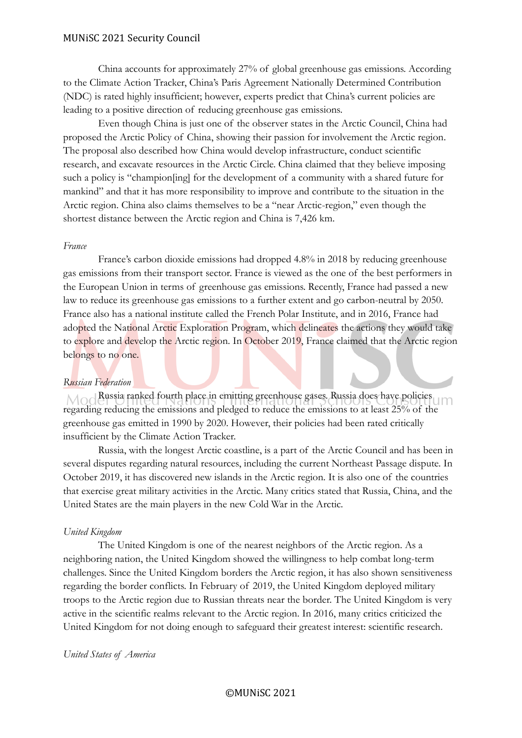### MUNiSC 2021 Security Council

China accounts for approximately 27% of global greenhouse gas emissions. According to the Climate Action Tracker, China's Paris Agreement Nationally Determined Contribution (NDC) is rated highly insufficient; however, experts predict that China's current policies are leading to a positive direction of reducing greenhouse gas emissions.

Even though China is just one of the observer states in the Arctic Council, China had proposed the Arctic Policy of China, showing their passion for involvement the Arctic region. The proposal also described how China would develop infrastructure, conduct scientific research, and excavate resources in the Arctic Circle. China claimed that they believe imposing such a policy is "champion[ing] for the development of a community with a shared future for mankind" and that it has more responsibility to improve and contribute to the situation in the Arctic region. China also claims themselves to be a "near Arctic-region," even though the shortest distance between the Arctic region and China is 7,426 km.

### *France*

France's carbon dioxide emissions had dropped 4.8% in 2018 by reducing greenhouse gas emissions from their transport sector. France is viewed as the one of the best performers in the European Union in terms of greenhouse gas emissions. Recently, France had passed a new law to reduce its greenhouse gas emissions to a further extent and go carbon-neutral by 2050. France also has a national institute called the French Polar Institute, and in 2016, France had adopted the National Arctic Exploration Program, which delineates the actions they would take to explore and develop the Arctic region. In October 2019, France claimed that the Arctic region belongs to no one.

### *Russian Federation*

Mod Russia ranked fourth place in emitting greenhouse gases. Russia does have policies regarding reducing the emissions and pledged to reduce the emissions to at least 25% of the greenhouse gas emitted in 1990 by 2020. However, their policies had been rated critically insufficient by the Climate Action Tracker.

Russia, with the longest Arctic coastline, is a part of the Arctic Council and has been in several disputes regarding natural resources, including the current Northeast Passage dispute. In October 2019, it has discovered new islands in the Arctic region. It is also one of the countries that exercise great military activities in the Arctic. Many critics stated that Russia, China, and the United States are the main players in the new Cold War in the Arctic.

### *United Kingdom*

The United Kingdom is one of the nearest neighbors of the Arctic region. As a neighboring nation, the United Kingdom showed the willingness to help combat long-term challenges. Since the United Kingdom borders the Arctic region, it has also shown sensitiveness regarding the border conflicts. In February of 2019, the United Kingdom deployed military troops to the Arctic region due to Russian threats near the border. The United Kingdom is very active in the scientific realms relevant to the Arctic region. In 2016, many critics criticized the United Kingdom for not doing enough to safeguard their greatest interest: scientific research.

### *United States of America*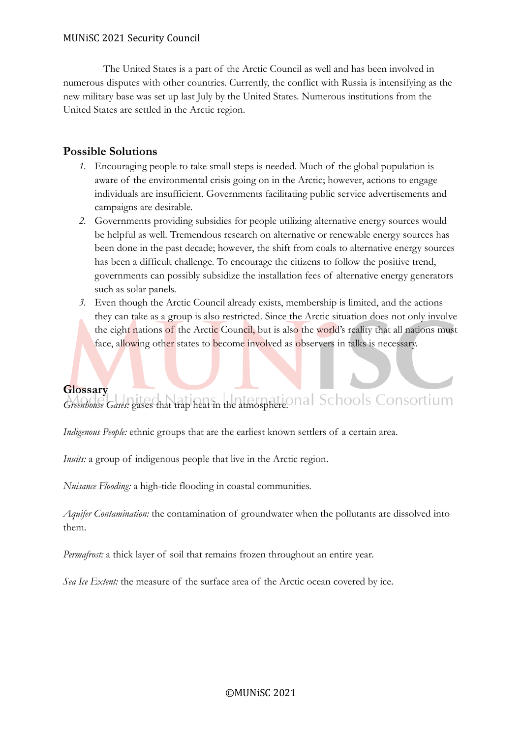The United States is a part of the Arctic Council as well and has been involved in numerous disputes with other countries. Currently, the conflict with Russia is intensifying as the new military base was set up last July by the United States. Numerous institutions from the United States are settled in the Arctic region.

# **Possible Solutions**

- *1.* Encouraging people to take small steps is needed. Much of the global population is aware of the environmental crisis going on in the Arctic; however, actions to engage individuals are insufficient. Governments facilitating public service advertisements and campaigns are desirable.
- *2.* Governments providing subsidies for people utilizing alternative energy sources would be helpful as well. Tremendous research on alternative or renewable energy sources has been done in the past decade; however, the shift from coals to alternative energy sources has been a difficult challenge. To encourage the citizens to follow the positive trend, governments can possibly subsidize the installation fees of alternative energy generators such as solar panels.
- *3.* Even though the Arctic Council already exists, membership is limited, and the actions they can take as a group is also restricted. Since the Arctic situation does not only involve the eight nations of the Arctic Council, but is also the world's reality that all nations must face, allowing other states to become involved as observers in talks is necessary.

# **Glossary**

*Greenhouse Gases:* gases that trap heat in the atmosphere.

*Indigenous People:* ethnic groups that are the earliest known settlers of a certain area.

*Inuits:* a group of indigenous people that live in the Arctic region.

*Nuisance Flooding:* a high-tide flooding in coastal communities.

*Aquifer Contamination:* the contamination of groundwater when the pollutants are dissolved into them.

*Permafrost:* a thick layer of soil that remains frozen throughout an entire year.

*Sea Ice Extent:* the measure of the surface area of the Arctic ocean covered by ice.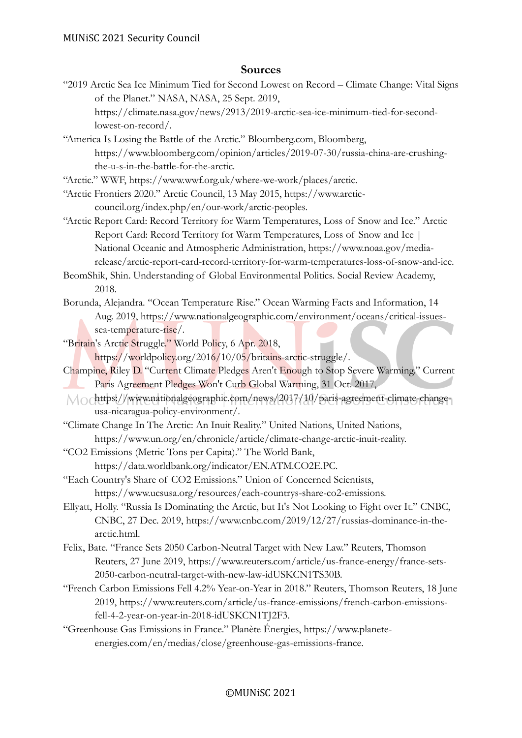# **Sources**

"2019 Arctic Sea Ice Minimum Tied for Second Lowest on Record – Climate Change: Vital Signs of the Planet." NASA, NASA, 25 Sept. 2019,

https://climate.nasa.gov/news/2913/2019-arctic-sea-ice-minimum-tied-for-secondlowest-on-record/.

"America Is Losing the Battle of the Arctic." Bloomberg.com, Bloomberg, https://www.bloomberg.com/opinion/articles/2019-07-30/russia-china-are-crushingthe-u-s-in-the-battle-for-the-arctic.

"Arctic." WWF, https://www.wwf.org.uk/where-we-work/places/arctic.

- "Arctic Frontiers 2020." Arctic Council, 13 May 2015, https://www.arcticcouncil.org/index.php/en/our-work/arctic-peoples.
- "Arctic Report Card: Record Territory for Warm Temperatures, Loss of Snow and Ice." Arctic Report Card: Record Territory for Warm Temperatures, Loss of Snow and Ice | National Oceanic and Atmospheric Administration, https://www.noaa.gov/mediarelease/arctic-report-card-record-territory-for-warm-temperatures-loss-of-snow-and-ice.
- BeomShik, Shin. Understanding of Global Environmental Politics. Social Review Academy, 2018.
- Borunda, Alejandra. "Ocean Temperature Rise." Ocean Warming Facts and Information, 14 Aug. 2019, https://www.nationalgeographic.com/environment/oceans/critical-issuessea-temperature-rise/.
- "Britain's Arctic Struggle." World Policy, 6 Apr. 2018,
	- https://worldpolicy.org/2016/10/05/britains-arctic-struggle/.

Champine, Riley D. "Current Climate Pledges Aren't Enough to Stop Severe Warming." Current Paris Agreement Pledges Won't Curb Global Warming, 31 Oct. 2017,

- Mochttps://www.nationalgeographic.com/news/2017/10/paris-agreement-climate-changeusa-nicaragua-policy-environment/.
- "Climate Change In The Arctic: An Inuit Reality." United Nations, United Nations, https://www.un.org/en/chronicle/article/climate-change-arctic-inuit-reality.
- "CO2 Emissions (Metric Tons per Capita)." The World Bank, https://data.worldbank.org/indicator/EN.ATM.CO2E.PC.
- "Each Country's Share of CO2 Emissions." Union of Concerned Scientists, https://www.ucsusa.org/resources/each-countrys-share-co2-emissions.
- Ellyatt, Holly. "Russia Is Dominating the Arctic, but It's Not Looking to Fight over It." CNBC, CNBC, 27 Dec. 2019, https://www.cnbc.com/2019/12/27/russias-dominance-in-thearctic.html.
- Felix, Bate. "France Sets 2050 Carbon-Neutral Target with New Law." Reuters, Thomson Reuters, 27 June 2019, https://www.reuters.com/article/us-france-energy/france-sets-2050-carbon-neutral-target-with-new-law-idUSKCN1TS30B.
- "French Carbon Emissions Fell 4.2% Year-on-Year in 2018." Reuters, Thomson Reuters, 18 June 2019, https://www.reuters.com/article/us-france-emissions/french-carbon-emissionsfell-4-2-year-on-year-in-2018-idUSKCN1TJ2F3.
- "Greenhouse Gas Emissions in France." Planète Énergies, https://www.planeteenergies.com/en/medias/close/greenhouse-gas-emissions-france.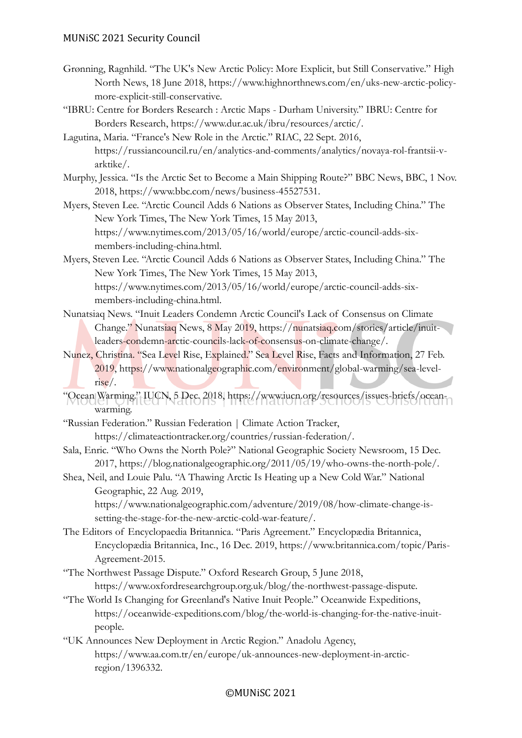- Grønning, Ragnhild. "The UK's New Arctic Policy: More Explicit, but Still Conservative." High North News, 18 June 2018, https://www.highnorthnews.com/en/uks-new-arctic-policymore-explicit-still-conservative.
- "IBRU: Centre for Borders Research : Arctic Maps Durham University." IBRU: Centre for Borders Research, https://www.dur.ac.uk/ibru/resources/arctic/.
- Lagutina, Maria. "France's New Role in the Arctic." RIAC, 22 Sept. 2016, https://russiancouncil.ru/en/analytics-and-comments/analytics/novaya-rol-frantsii-varktike/.
- Murphy, Jessica. "Is the Arctic Set to Become a Main Shipping Route?" BBC News, BBC, 1 Nov. 2018, https://www.bbc.com/news/business-45527531.
- Myers, Steven Lee. "Arctic Council Adds 6 Nations as Observer States, Including China." The New York Times, The New York Times, 15 May 2013, https://www.nytimes.com/2013/05/16/world/europe/arctic-council-adds-sixmembers-including-china.html.
- Myers, Steven Lee. "Arctic Council Adds 6 Nations as Observer States, Including China." The New York Times, The New York Times, 15 May 2013, https://www.nytimes.com/2013/05/16/world/europe/arctic-council-adds-sixmembers-including-china.html.
- Nunatsiaq News. "Inuit Leaders Condemn Arctic Council's Lack of Consensus on Climate Change." Nunatsiaq News, 8 May 2019, https://nunatsiaq.com/stories/article/inuitleaders-condemn-arctic-councils-lack-of-consensus-on-climate-change/.
- Nunez, Christina. "Sea Level Rise, Explained." Sea Level Rise, Facts and Information, 27 Feb. 2019, https://www.nationalgeographic.com/environment/global-warming/sea-levelrise/.
- "Ocean Warming." IUCN, 5 Dec. 2018, https://www.iucn.org/resources/issues-briefs/oceanwarming.
- "Russian Federation." Russian Federation | Climate Action Tracker, https://climateactiontracker.org/countries/russian-federation/.
- Sala, Enric. "Who Owns the North Pole?" National Geographic Society Newsroom, 15 Dec. 2017, https://blog.nationalgeographic.org/2011/05/19/who-owns-the-north-pole/.
- Shea, Neil, and Louie Palu. "A Thawing Arctic Is Heating up a New Cold War." National Geographic, 22 Aug. 2019,
	- https://www.nationalgeographic.com/adventure/2019/08/how-climate-change-issetting-the-stage-for-the-new-arctic-cold-war-feature/.
- The Editors of Encyclopaedia Britannica. "Paris Agreement." Encyclopædia Britannica, Encyclopædia Britannica, Inc., 16 Dec. 2019, https://www.britannica.com/topic/Paris-Agreement-2015.
- "The Northwest Passage Dispute." Oxford Research Group, 5 June 2018, https://www.oxfordresearchgroup.org.uk/blog/the-northwest-passage-dispute.
- "The World Is Changing for Greenland's Native Inuit People." Oceanwide Expeditions, https://oceanwide-expeditions.com/blog/the-world-is-changing-for-the-native-inuitpeople.
- "UK Announces New Deployment in Arctic Region." Anadolu Agency, https://www.aa.com.tr/en/europe/uk-announces-new-deployment-in-arcticregion/1396332.

# ©MUNiSC 2021